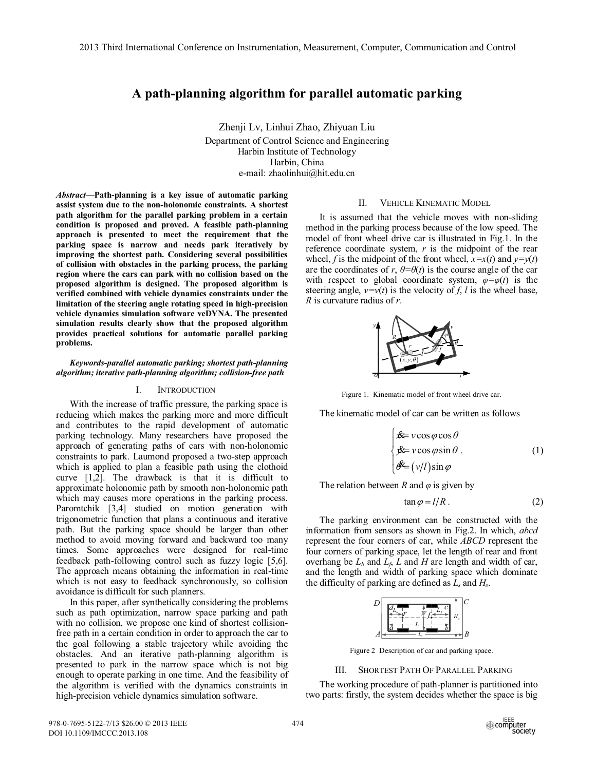# **A path-planning algorithm for parallel automatic parking**

Zhenji Lv, Linhui Zhao, Zhiyuan Liu Department of Control Science and Engineering Harbin Institute of Technology Harbin, China e-mail: zhaolinhui@hit.edu.cn

*Abstract***—Path-planning is a key issue of automatic parking assist system due to the non-holonomic constraints. A shortest path algorithm for the parallel parking problem in a certain condition is proposed and proved. A feasible path-planning approach is presented to meet the requirement that the parking space is narrow and needs park iteratively by improving the shortest path. Considering several possibilities of collision with obstacles in the parking process, the parking region where the cars can park with no collision based on the proposed algorithm is designed. The proposed algorithm is verified combined with vehicle dynamics constraints under the limitation of the steering angle rotating speed in high-precision vehicle dynamics simulation software veDYNA. The presented simulation results clearly show that the proposed algorithm provides practical solutions for automatic parallel parking problems.** 

## *Keywords-parallel automatic parking; shortest path-planning algorithm; iterative path-planning algorithm; collision-free path*

### I. INTRODUCTION

With the increase of traffic pressure, the parking space is reducing which makes the parking more and more difficult and contributes to the rapid development of automatic parking technology. Many researchers have proposed the approach of generating paths of cars with non-holonomic constraints to park. Laumond proposed a two-step approach which is applied to plan a feasible path using the clothoid curve [1,2]. The drawback is that it is difficult to approximate holonomic path by smooth non-holonomic path which may causes more operations in the parking process. Paromtchik [3,4] studied on motion generation with trigonometric function that plans a continuous and iterative path. But the parking space should be larger than other method to avoid moving forward and backward too many times. Some approaches were designed for real-time feedback path-following control such as fuzzy logic [5,6]. The approach means obtaining the information in real-time which is not easy to feedback synchronously, so collision avoidance is difficult for such planners.

In this paper, after synthetically considering the problems such as path optimization, narrow space parking and path with no collision, we propose one kind of shortest collisionfree path in a certain condition in order to approach the car to the goal following a stable trajectory while avoiding the obstacles. And an iterative path-planning algorithm is presented to park in the narrow space which is not big enough to operate parking in one time. And the feasibility of the algorithm is verified with the dynamics constraints in high-precision vehicle dynamics simulation software.

### II. VEHICLE KINEMATIC MODEL

It is assumed that the vehicle moves with non-sliding method in the parking process because of the low speed. The model of front wheel drive car is illustrated in Fig.1. In the reference coordinate system, *r* is the midpoint of the rear wheel, *f* is the midpoint of the front wheel,  $x=x(t)$  and  $y=y(t)$ are the coordinates of  $r$ ,  $\theta = \theta(t)$  is the course angle of the car with respect to global coordinate system,  $\varphi = \varphi(t)$  is the steering angle,  $v=v(t)$  is the velocity of f, l is the wheel base, *R* is curvature radius of *r*.



Figure 1. Kinematic model of front wheel drive car.

The kinematic model of car can be written as follows

$$
\begin{cases}\n\mathbf{\hat{x}} = v \cos \varphi \cos \theta \\
\mathbf{\hat{y}} = v \cos \varphi \sin \theta \\
\mathbf{\hat{\phi}} = (v/l) \sin \varphi\n\end{cases}
$$
\n(1)

The relation between *R* and *φ* is given by

$$
\tan \varphi = l/R \,. \tag{2}
$$

The parking environment can be constructed with the information from sensors as shown in Fig.2. In which, *abcd* represent the four corners of car, while *ABCD* represent the four corners of parking space, let the length of rear and front overhang be  $L_b$  and  $L_f$ ,  $L$  and  $H$  are length and width of car, and the length and width of parking space which dominate the difficulty of parking are defined as  $L_s$  and  $H_s$ .



Figure 2 Description of car and parking space.

## III. SHORTEST PATH OF PARALLEL PARKING

The working procedure of path-planner is partitioned into two parts: firstly, the system decides whether the space is big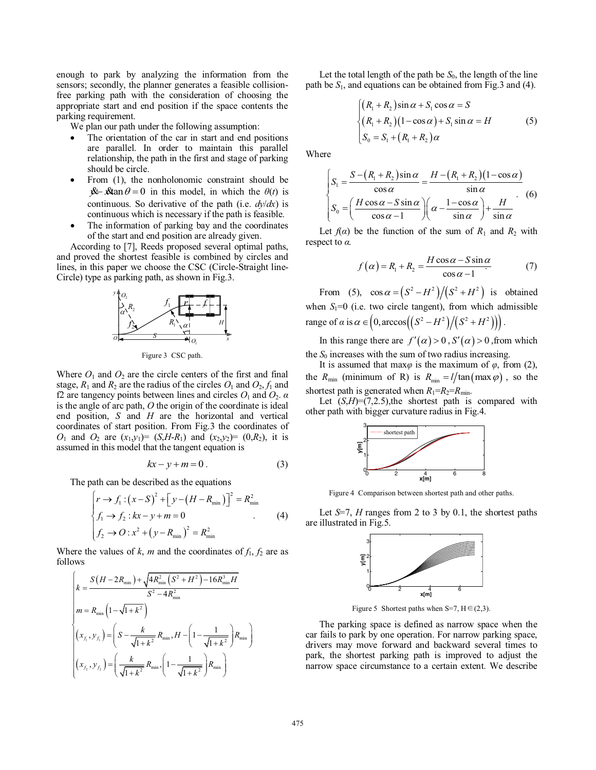enough to park by analyzing the information from the sensors; secondly, the planner generates a feasible collisionfree parking path with the consideration of choosing the appropriate start and end position if the space contents the parking requirement.

We plan our path under the following assumption:

- The orientation of the car in start and end positions are parallel. In order to maintain this parallel relationship, the path in the first and stage of parking should be circle.
- From (1), the nonholonomic constraint should be  $x^2$   $x^2$   $\theta = 0$  in this model, in which the  $\theta(t)$  is continuous. So derivative of the path (i.e. *dy*/*dx*) is continuous which is necessary if the path is feasible.
- The information of parking bay and the coordinates of the start and end position are already given.

According to [7], Reeds proposed several optimal paths, and proved the shortest feasible is combined by circles and lines, in this paper we choose the CSC (Circle-Straight line-Circle) type as parking path, as shown in Fig.3.



Figure 3 CSC path.

Where  $O_1$  and  $O_2$  are the circle centers of the first and final stage,  $R_1$  and  $R_2$  are the radius of the circles  $O_1$  and  $O_2$ ,  $f_1$  and f2 are tangency points between lines and circles  $O_1$  and  $O_2$ .  $\alpha$ is the angle of arc path, *O* the origin of the coordinate is ideal end position, *S* and *H* are the horizontal and vertical coordinates of start position. From Fig.3 the coordinates of *O*<sub>1</sub> and *O*<sub>2</sub> are  $(x_1, y_1) = (S, H - R_1)$  and  $(x_2, y_2) = (0, R_2)$ , it is assumed in this model that the tangent equation is

$$
kx - y + m = 0.
$$
 (3)

The path can be described as the equations

$$
\begin{cases}\nr \to f_1: (x - S)^2 + [y - (H - R_{\min})]^2 = R_{\min}^2 \\
f_1 \to f_2: kx - y + m = 0 \\
f_2 \to O: x^2 + (y - R_{\min})^2 = R_{\min}^2\n\end{cases}
$$
\n(4)

Where the values of  $k$ ,  $m$  and the coordinates of  $f_1, f_2$  are as follows

$$
\begin{cases}\nk = \frac{S(H - 2R_{\min}) + \sqrt{4R_{\min}^2 \left(S^2 + H^2\right) - 16R_{\min}^3 H}}{S^2 - 4R_{\min}^2} \\
m = R_{\min}\left(1 - \sqrt{1 + k^2}\right) \\
\left(x_{f_1}, y_{f_1}\right) = \left(S - \frac{k}{\sqrt{1 + k^2}}R_{\min}, H - \left(1 - \frac{1}{\sqrt{1 + k^2}}\right)R_{\min}\right) \\
\left(x_{f_2}, y_{f_2}\right) = \left(\frac{k}{\sqrt{1 + k^2}}R_{\min}, \left(1 - \frac{1}{\sqrt{1 + k^2}}\right)R_{\min}\right)\n\end{cases}
$$

Let the total length of the path be  $S_0$ , the length of the line path be *S*1, and equations can be obtained from Fig.3 and (4).

$$
\begin{cases}\n(R_1 + R_2)\sin\alpha + S_1\cos\alpha = S \\
(R_1 + R_2)(1 - \cos\alpha) + S_1\sin\alpha = H \\
S_0 = S_1 + (R_1 + R_2)\alpha\n\end{cases}
$$
\n(5)

Where

$$
\begin{cases}\nS_1 = \frac{S - (R_1 + R_2)\sin\alpha}{\cos\alpha} = \frac{H - (R_1 + R_2)(1 - \cos\alpha)}{\sin\alpha} \\
S_0 = \left(\frac{H\cos\alpha - S\sin\alpha}{\cos\alpha - 1}\right)\left(\alpha - \frac{1 - \cos\alpha}{\sin\alpha}\right) + \frac{H}{\sin\alpha}\n\end{cases} (6)
$$

Let  $f(\alpha)$  be the function of the sum of  $R_1$  and  $R_2$  with respect to *α.* 

$$
f(\alpha) = R_1 + R_2 = \frac{H\cos\alpha - S\sin\alpha}{\cos\alpha - 1}
$$
 (7)

From (5),  $\cos \alpha = (S^2 - H^2)/(S^2 + H^2)$  is obtained when  $S_1=0$  (i.e. two circle tangent), from which admissible range of  $\alpha$  is  $\alpha \in (0, \arccos((S^2 - H^2)/(S^2 + H^2)))$ .

In this range there are  $f'(\alpha) > 0$ ,  $S'(\alpha) > 0$ , from which the  $S_0$  increases with the sum of two radius increasing.

It is assumed that max $\varphi$  is the maximum of  $\varphi$ , from (2), the  $R_{\min}$  (minimum of R) is  $R_{\min} = l / \tan(\max \varphi)$ , so the shortest path is generated when  $R_1=R_2=R_{\text{min}}$ .

Let  $(S, H) = (7, 2.5)$ , the shortest path is compared with other path with bigger curvature radius in Fig.4.



Figure 4 Comparison between shortest path and other paths.

Let *S*=7, *H* ranges from 2 to 3 by 0.1, the shortest paths are illustrated in Fig.5.



Figure 5 Shortest paths when S=7,  $H \in (2,3)$ .

The parking space is defined as narrow space when the car fails to park by one operation. For narrow parking space, drivers may move forward and backward several times to park, the shortest parking path is improved to adjust the narrow space circumstance to a certain extent. We describe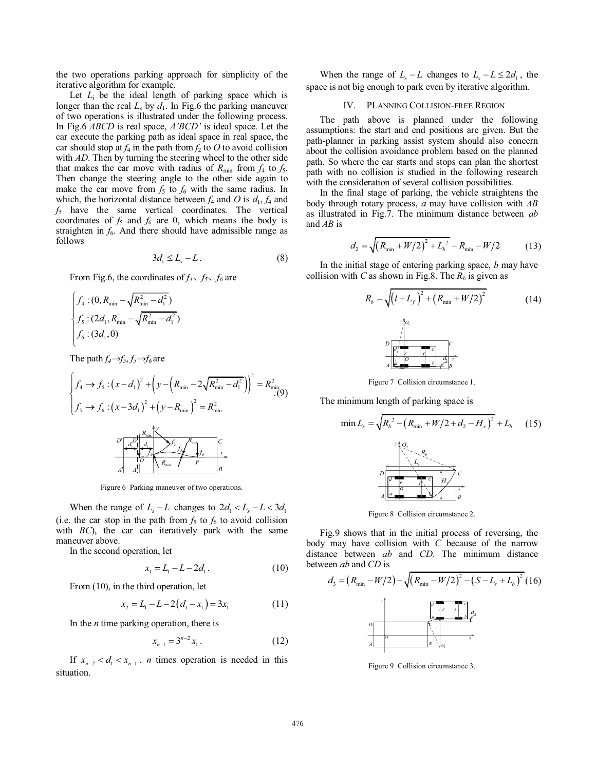the two operations parking approach for simplicity of the iterative algorithm for example.

Let  $L_i$  be the ideal length of parking space which is longer than the real  $L_s$  by  $d_1$ . In Fig.6 the parking maneuver of two operations is illustrated under the following process. In Fig.6 *ABCD* is real space, *A'BCD'* is ideal space. Let the car execute the parking path as ideal space in real space, the car should stop at  $f_4$  in the path from  $f_2$  to O to avoid collision with *AD*. Then by turning the steering wheel to the other side that makes the car move with radius of  $R_{\text{min}}$  from  $f_4$  to  $f_5$ . Then change the steering angle to the other side again to make the car move from  $f_5$  to  $f_6$  with the same radius. In which, the horizontal distance between  $f_4$  and  $\overline{O}$  is  $d_1$ ,  $f_4$  and *f*5 have the same vertical coordinates. The vertical coordinates of  $f_5$  and  $f_6$  are 0, which means the body is straighten in  $f_6$ . And there should have admissible range as follows

$$
3d_1 \le L_s - L. \tag{8}
$$

From Fig.6, the coordinates of  $f_4$ ,  $f_5$ ,  $f_6$  are

$$
\begin{cases}\nf_4: (0, R_{\min} - \sqrt{R_{\min}^2 - d_1^2}) \\
f_5: (2d_1, R_{\min} - \sqrt{R_{\min}^2 - d_1^2}) \\
f_6: (3d_1, 0)\n\end{cases}
$$

The path  $f_4 \rightarrow f_5, f_5 \rightarrow f_6$  are

$$
\begin{cases}\nf_{4} \to f_{5}: (x - d_{1})^{2} + \left(y - \left(R_{\min} - 2\sqrt{R_{\min}^{2} - d_{1}^{2}}\right)\right)^{2} = R_{\min}^{2} \\
f_{5} \to f_{6}: (x - 3d_{1})^{2} + \left(y - R_{\min}\right)^{2} = R_{\min}^{2}\n\end{cases}
$$
\n
$$
\begin{array}{r}\nD' \left[\frac{d^{D} \left(1 - \frac{1}{2}\right)^{2}}{d_{1}} \right] \left(\frac{1}{2} - \frac{1}{2}\right)^{2} \left(\frac{1}{2} - \frac{1}{2}\right) \\
\frac{d^{D} \left(1 - \frac{1}{2}\right)^{2}}{d_{1}} \left(\frac{1}{2} - \frac{1}{2}\right) \left(\frac{1}{2} - \frac{1}{2}\right) \\
\frac{d^{D} \left(1 - \frac{1}{2}\right)^{2}}{d_{2}} \left(\frac{1}{2} - \frac{1}{2}\right) \left(\frac{1}{2} - \frac{1}{2}\right) \\
\frac{d^{D} \left(1 - \frac{1}{2}\right)^{2}}{d_{1}} \left(\frac{1}{2} - \frac{1}{2}\right) \left(\frac{1}{2} - \frac{1}{2}\right) \\
\frac{d^{D} \left(1 - \frac{1}{2}\right)^{2}}{d_{1}} \left(\frac{1}{2} - \frac{1}{2}\right) \left(\frac{1}{2} - \frac{1}{2}\right) \\
\frac{d^{D} \left(1 - \frac{1}{2}\right)^{2}}{d_{2}} \left(\frac{1}{2} - \frac{1}{2}\right) \left(\frac{1}{2} - \frac{1}{2}\right) \\
\frac{d^{D} \left(1 - \frac{1}{2}\right)^{2}}{d_{1}} \left(\frac{1}{2} - \frac{1}{2}\right) \left(\frac{1}{2} - \frac{1}{2}\right) \\
\frac{d^{D} \left(1 - \frac{1}{2}\right)^{2}}{d_{1}} \left(\frac{1}{2} - \frac{1}{2}\right) \left(\frac{1}{2} - \frac{1}{2}\right) \\
\frac{d^{D} \left(1 - \frac{1}{2}\right)^{2}}{d_{1}} \left(\frac{1}{2} - \frac{1}{2}\right) \left(\frac{1}{2} - \frac{
$$

Figure 6 Parking maneuver of two operations.

When the range of  $L_s - L$  changes to  $2d_1 < L_s - L < 3d_1$ (i.e. the car stop in the path from  $f_5$  to  $f_6$  to avoid collision with *BC*), the car can iteratively park with the same maneuver above.

In the second operation, let

$$
x_1 = L_1 - L - 2d_1.
$$
 (10)

From (10), in the third operation, let

$$
x_2 = L_1 - L - 2(d_1 - x_1) = 3x_1 \tag{11}
$$

In the *n* time parking operation, there is

$$
x_{n-1} = 3^{n-2} x_1.
$$
 (12)

If  $x_{n-2} < d_1 < x_{n-1}$ , *n* times operation is needed in this situation.

When the range of  $L_s - L$  changes to  $L_s - L \leq 2d_1$ , the space is not big enough to park even by iterative algorithm.

#### IV. PLANNING COLLISION-FREE REGION

The path above is planned under the following assumptions: the start and end positions are given. But the path-planner in parking assist system should also concern about the collision avoidance problem based on the planned path. So where the car starts and stops can plan the shortest path with no collision is studied in the following research with the consideration of several collision possibilities.

In the final stage of parking, the vehicle straightens the body through rotary process, *a* may have collision with *AB* as illustrated in Fig.7. The minimum distance between *ab* and *AB* is

$$
d_2 = \sqrt{(R_{\min} + W/2)^2 + L_b^2} - R_{\min} - W/2
$$
 (13)

In the initial stage of entering parking space, *b* may have collision with *C* as shown in Fig.8. The  $R_b$  is given as

$$
R_{b} = \sqrt{\left(l + L_{f}\right)^{2} + \left(R_{\min} + W/2\right)^{2}}
$$
(14)

Figure 7 Collision circumstance 1.

The minimum length of parking space is

$$
\min L_s = \sqrt{R_b^2 - \left(R_{\min} + W/2 + d_2 - H_s\right)^2} + L_b \quad (15)
$$

Figure 8 Collision circumstance 2.

Fig.9 shows that in the initial process of reversing, the body may have collision with *C* because of the narrow distance between *ab* and *CD*. The minimum distance between *ab* and *CD* is

$$
d_3 = (R_{\min} - W/2) - \sqrt{(R_{\min} - W/2)^2 - (S - L_s + L_b)^2 (16)}
$$

Figure 9 Collision circumstance 3.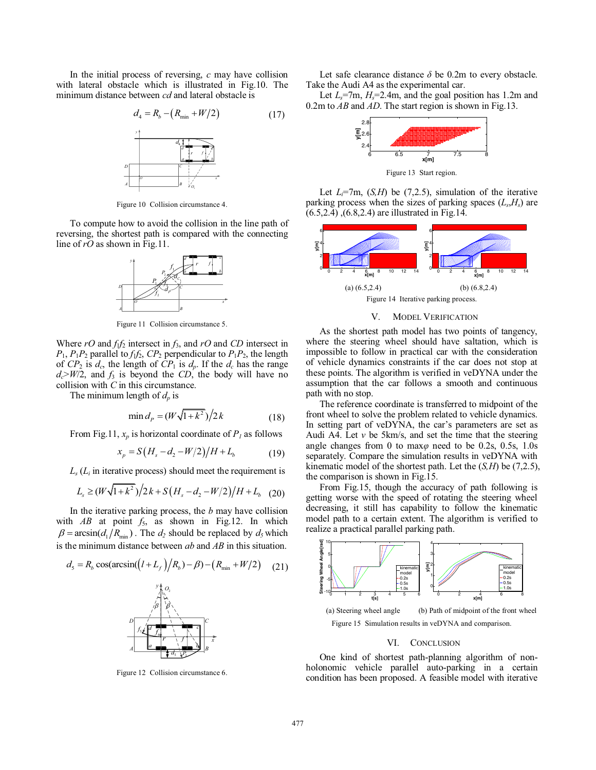In the initial process of reversing, *c* may have collision with lateral obstacle which is illustrated in Fig.10. The minimum distance between *cd* and lateral obstacle is

$$
d_4 = R_b - (R_{\min} + W/2) \tag{17}
$$



Figure 10 Collision circumstance 4.

To compute how to avoid the collision in the line path of reversing, the shortest path is compared with the connecting line of *rO* as shown in Fig.11.



Figure 11 Collision circumstance 5.

Where  $rO$  and  $f_1f_2$  intersect in  $f_3$ , and  $rO$  and  $CD$  intersect in  $P_1$ ,  $P_1P_2$  parallel to  $f_1f_2$ ,  $CP_2$  perpendicular to  $P_1P_2$ , the length of  $CP_2$  is  $d_c$ , the length of  $CP_1$  is  $d_p$ . If the  $d_c$  has the range  $d_c$ >*W*/2, and  $f_3$  is beyond the *CD*, the body will have no collision with *C* in this circumstance.

The minimum length of  $d_p$  is

$$
\min d_P = (W\sqrt{1+k^2})/2k \tag{18}
$$

From Fig.11,  $x_p$  is horizontal coordinate of  $P_1$  as follows

$$
x_p = S\left(H_s - d_2 - W/2\right) / H + L_b \tag{19}
$$

 $L_s(L_i)$  in iterative process) should meet the requirement is

$$
L_s \ge (W\sqrt{1+k^2})/2k + S\left(H_s - d_2 - W/2\right)/H + L_b \quad (20)
$$

In the iterative parking process, the *b* may have collision with  $AB$  at point  $f_5$ , as shown in Fig.12. In which  $\beta = \arcsin(d_1/R_{\text{min}})$ . The  $d_2$  should be replaced by  $d_5$  which is the minimum distance between *ab* and *AB* in this situation.



Figure 12 Collision circumstance 6.

Let safe clearance distance  $\delta$  be 0.2m to every obstacle. Take the Audi A4 as the experimental car.

Let  $L_s$ =7m,  $H_s$ =2.4m, and the goal position has 1.2m and 0.2m to *AB* and *AD*. The start region is shown in Fig.13.



Figure 13 Start region.

Let  $L_i$ =7m,  $(S, H)$  be  $(7,2.5)$ , simulation of the iterative parking process when the sizes of parking spaces  $(L_s, H_s)$  are (6.5,2.4) ,(6.8,2.4) are illustrated in Fig.14.



#### V. MODEL VERIFICATION

As the shortest path model has two points of tangency, where the steering wheel should have saltation, which is impossible to follow in practical car with the consideration of vehicle dynamics constraints if the car does not stop at these points. The algorithm is verified in veDYNA under the assumption that the car follows a smooth and continuous path with no stop.

The reference coordinate is transferred to midpoint of the front wheel to solve the problem related to vehicle dynamics. In setting part of veDYNA, the car's parameters are set as Audi A4. Let  $v$  be 5km/s, and set the time that the steering angle changes from 0 to max*φ* need to be 0.2s, 0.5s, 1.0s separately. Compare the simulation results in veDYNA with kinematic model of the shortest path. Let the (*S,H*) be (7,2.5), the comparison is shown in Fig.15.

From Fig.15, though the accuracy of path following is getting worse with the speed of rotating the steering wheel decreasing, it still has capability to follow the kinematic model path to a certain extent. The algorithm is verified to realize a practical parallel parking path.



## VI. CONCLUSION

One kind of shortest path-planning algorithm of nonholonomic vehicle parallel auto-parking in a certain condition has been proposed. A feasible model with iterative